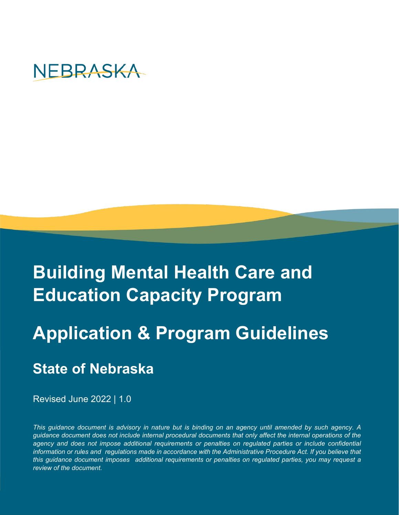

# **Building Mental Health Care and Education Capacity Program**

# **Application & Program Guidelines**

## **State of Nebraska**

Revised June 2022 | 1.0

*This guidance document is advisory in nature but is binding on an agency until amended by such agency. A guidance document does not include internal procedural documents that only affect the internal operations of the* agency and does not impose additional requirements or penalties on regulated parties or include confidential *information or rules and regulations made in accordance with the Administrative Procedure Act. If you believe that this guidance document imposes additional requirements or penalties on regulated parties, you may request a review of the document.*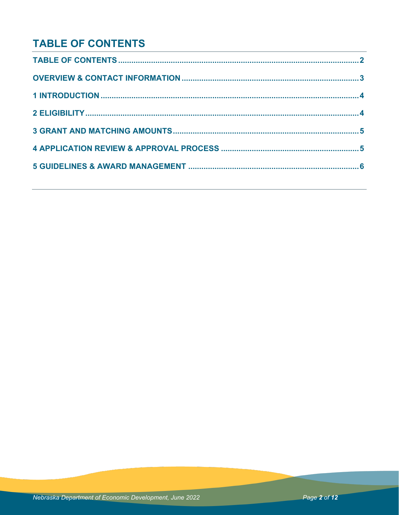## **TABLE OF CONTENTS**

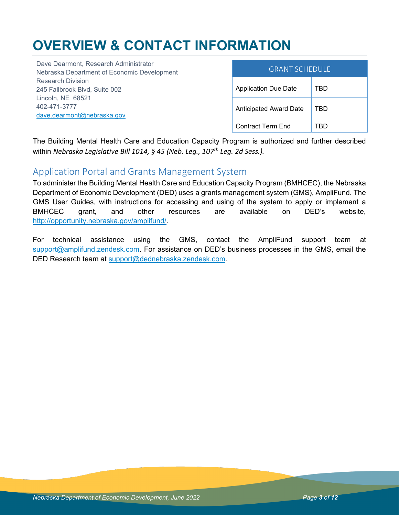## **OVERVIEW & CONTACT INFORMATION**

| Dave Dearmont, Research Administrator<br>Nebraska Department of Economic Development                                         | <b>GRANT SCHEDULE</b>         |            |
|------------------------------------------------------------------------------------------------------------------------------|-------------------------------|------------|
| <b>Research Division</b><br>245 Fallbrook Blvd, Suite 002<br>Lincoln, NE 68521<br>402-471-3777<br>dave.dearmont@nebraska.gov | <b>Application Due Date</b>   | TBD        |
|                                                                                                                              | <b>Anticipated Award Date</b> | <b>TBD</b> |
|                                                                                                                              | Contract Term End             | TBD        |

The Building Mental Health Care and Education Capacity Program is authorized and further described within *Nebraska Legislative Bill 1014, § 45 (Neb. Leg., 107th Leg. 2d Sess.).*

### Application Portal and Grants Management System

To administer the Building Mental Health Care and Education Capacity Program (BMHCEC), the Nebraska Department of Economic Development (DED) uses a grants management system (GMS), AmpliFund. The GMS User Guides, with instructions for accessing and using of the system to apply or implement a BMHCEC grant, and other resources are available on DED's website, [http://opportunity.nebraska.gov/amplifund/.](http://opportunity.nebraska.gov/amplifund/)

For technical assistance using the GMS, contact the AmpliFund support team at [support@amplifund.zendesk.com.](mailto:support@amplifund.zendesk.com) For assistance on DED's business processes in the GMS, email the DED Research team at [support@dednebraska.zendesk.com.](mailto:support@dednebraska.zendesk.com)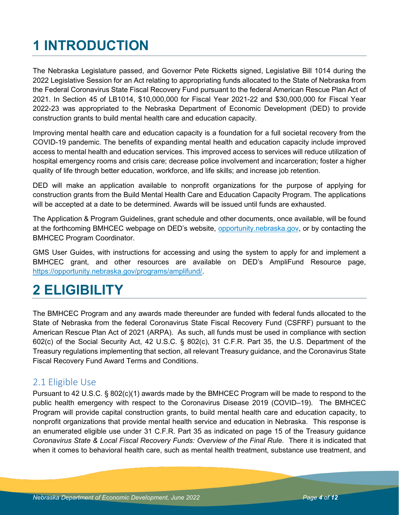# **1 INTRODUCTION**

The Nebraska Legislature passed, and Governor Pete Ricketts signed, Legislative Bill 1014 during the 2022 Legislative Session for an Act relating to appropriating funds allocated to the State of Nebraska from the Federal Coronavirus State Fiscal Recovery Fund pursuant to the federal American Rescue Plan Act of 2021. In Section 45 of LB1014, \$10,000,000 for Fiscal Year 2021-22 and \$30,000,000 for Fiscal Year 2022-23 was appropriated to the Nebraska Department of Economic Development (DED) to provide construction grants to build mental health care and education capacity.

Improving mental health care and education capacity is a foundation for a full societal recovery from the COVID-19 pandemic. The benefits of expanding mental health and education capacity include improved access to mental health and education services. This improved access to services will reduce utilization of hospital emergency rooms and crisis care; decrease police involvement and incarceration; foster a higher quality of life through better education, workforce, and life skills; and increase job retention.

DED will make an application available to nonprofit organizations for the purpose of applying for construction grants from the Build Mental Health Care and Education Capacity Program. The applications will be accepted at a date to be determined. Awards will be issued until funds are exhausted.

The Application & Program Guidelines, grant schedule and other documents, once available, will be found at the forthcoming BMHCEC webpage on DED's website, [opportunity.nebraska.gov,](https://opportunity.nebraska.gov/) or by contacting the BMHCEC Program Coordinator.

GMS User Guides, with instructions for accessing and using the system to apply for and implement a BMHCEC grant, and other resources are available on DED's AmpliFund Resource page, [https://opportunity.nebraska.gov/programs/amplifund/.](https://opportunity.nebraska.gov/programs/amplifund/)

## **2 ELIGIBILITY**

The BMHCEC Program and any awards made thereunder are funded with federal funds allocated to the State of Nebraska from the federal Coronavirus State Fiscal Recovery Fund (CSFRF) pursuant to the American Rescue Plan Act of 2021 (ARPA). As such, all funds must be used in compliance with section 602(c) of the Social Security Act, 42 U.S.C. § 802(c), 31 C.F.R. Part 35, the U.S. Department of the Treasury regulations implementing that section, all relevant Treasury guidance, and the Coronavirus State Fiscal Recovery Fund Award Terms and Conditions.

### 2.1 Eligible Use

Pursuant to 42 U.S.C. § 802(c)(1) awards made by the BMHCEC Program will be made to respond to the public health emergency with respect to the Coronavirus Disease 2019 (COVID–19). The BMHCEC Program will provide capital construction grants, to build mental health care and education capacity, to nonprofit organizations that provide mental health service and education in Nebraska. This response is an enumerated eligible use under 31 C.F.R. Part 35 as indicated on page 15 of the Treasury guidance *Coronavirus State & Local Fiscal Recovery Funds: Overview of the Final Rule*. There it is indicated that when it comes to behavioral health care, such as mental health treatment, substance use treatment, and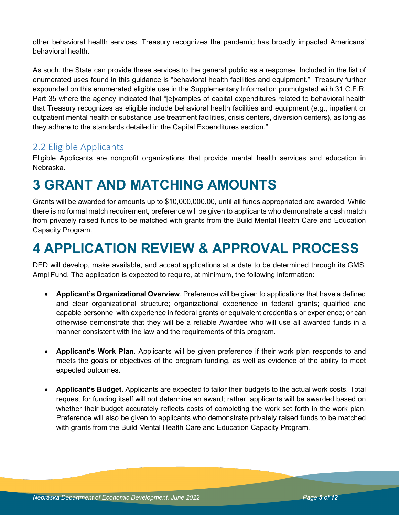other behavioral health services, Treasury recognizes the pandemic has broadly impacted Americans' behavioral health.

As such, the State can provide these services to the general public as a response. Included in the list of enumerated uses found in this guidance is "behavioral health facilities and equipment." Treasury further expounded on this enumerated eligible use in the Supplementary Information promulgated with 31 C.F.R. Part 35 where the agency indicated that "[e]xamples of capital expenditures related to behavioral health that Treasury recognizes as eligible include behavioral health facilities and equipment (e.g., inpatient or outpatient mental health or substance use treatment facilities, crisis centers, diversion centers), as long as they adhere to the standards detailed in the Capital Expenditures section."

## 2.2 Eligible Applicants

Eligible Applicants are nonprofit organizations that provide mental health services and education in Nebraska.

## **3 GRANT AND MATCHING AMOUNTS**

Grants will be awarded for amounts up to \$10,000,000.00, until all funds appropriated are awarded. While there is no formal match requirement, preference will be given to applicants who demonstrate a cash match from privately raised funds to be matched with grants from the Build Mental Health Care and Education Capacity Program.

## **4 APPLICATION REVIEW & APPROVAL PROCESS**

DED will develop, make available, and accept applications at a date to be determined through its GMS, AmpliFund. The application is expected to require, at minimum, the following information:

- **Applicant's Organizational Overview**. Preference will be given to applications that have a defined and clear organizational structure; organizational experience in federal grants; qualified and capable personnel with experience in federal grants or equivalent credentials or experience; or can otherwise demonstrate that they will be a reliable Awardee who will use all awarded funds in a manner consistent with the law and the requirements of this program.
- **Applicant's Work Plan**. Applicants will be given preference if their work plan responds to and meets the goals or objectives of the program funding, as well as evidence of the ability to meet expected outcomes.
- **Applicant's Budget**. Applicants are expected to tailor their budgets to the actual work costs. Total request for funding itself will not determine an award; rather, applicants will be awarded based on whether their budget accurately reflects costs of completing the work set forth in the work plan. Preference will also be given to applicants who demonstrate privately raised funds to be matched with grants from the Build Mental Health Care and Education Capacity Program.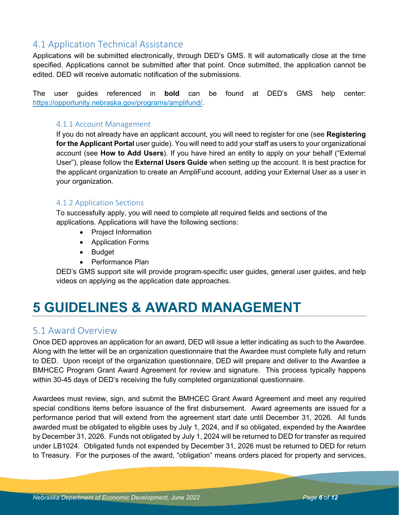## 4.1 Application Technical Assistance

Applications will be submitted electronically, through DED's GMS. It will automatically close at the time specified. Applications cannot be submitted after that point. Once submitted, the application cannot be edited. DED will receive automatic notification of the submissions.

The user guides referenced in **bold** can be found at DED's GMS help center: [https://opportunity.nebraska.gov/programs/amplifund/.](https://opportunity.nebraska.gov/programs/amplifund/)

#### 4.1.1 Account Management

If you do not already have an applicant account, you will need to register for one (see **Registering for the Applicant Portal** user guide). You will need to add your staff as users to your organizational account (see **How to Add Users**). If you have hired an entity to apply on your behalf ("External User"), please follow the **External Users Guide** when setting up the account. It is best practice for the applicant organization to create an AmpliFund account, adding your External User as a user in your organization.

#### 4.1.2 Application Sections

To successfully apply, you will need to complete all required fields and sections of the applications. Applications will have the following sections:

- Project Information
- Application Forms
- Budget
- Performance Plan

DED's GMS support site will provide program-specific user guides, general user guides, and help videos on applying as the application date approaches.

## **5 GUIDELINES & AWARD MANAGEMENT**

### 5.1 Award Overview

Once DED approves an application for an award, DED will issue a letter indicating as such to the Awardee. Along with the letter will be an organization questionnaire that the Awardee must complete fully and return to DED. Upon receipt of the organization questionnaire, DED will prepare and deliver to the Awardee a BMHCEC Program Grant Award Agreement for review and signature. This process typically happens within 30-45 days of DED's receiving the fully completed organizational questionnaire.

Awardees must review, sign, and submit the BMHCEC Grant Award Agreement and meet any required special conditions items before issuance of the first disbursement. Award agreements are issued for a performance period that will extend from the agreement start date until December 31, 2026. All funds awarded must be obligated to eligible uses by July 1, 2024, and if so obligated, expended by the Awardee by December 31, 2026. Funds not obligated by July 1, 2024 will be returned to DED for transfer as required under LB1024. Obligated funds not expended by December 31, 2026 must be returned to DED for return to Treasury. For the purposes of the award, "obligation" means orders placed for property and services,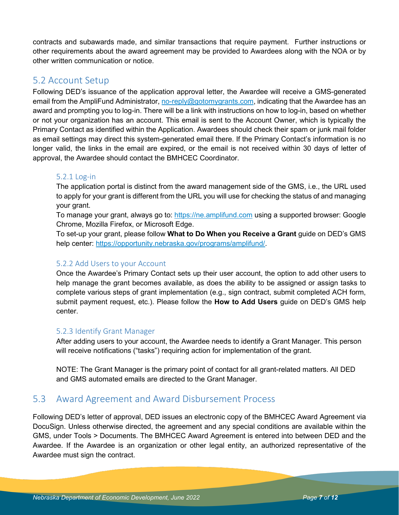contracts and subawards made, and similar transactions that require payment. Further instructions or other requirements about the award agreement may be provided to Awardees along with the NOA or by other written communication or notice.

### 5.2 Account Setup

Following DED's issuance of the application approval letter, the Awardee will receive a GMS-generated email from the AmpliFund Administrator[, no-reply@gotomygrants.com,](mailto:no-reply@gotomygrants.com) indicating that the Awardee has an award and prompting you to log-in. There will be a link with instructions on how to log-in, based on whether or not your organization has an account. This email is sent to the Account Owner, which is typically the Primary Contact as identified within the Application. Awardees should check their spam or junk mail folder as email settings may direct this system-generated email there. If the Primary Contact's information is no longer valid, the links in the email are expired, or the email is not received within 30 days of letter of approval, the Awardee should contact the BMHCEC Coordinator.

#### 5.2.1 Log-in

The application portal is distinct from the award management side of the GMS, i.e., the URL used to apply for your grant is different from the URL you will use for checking the status of and managing your grant.

To manage your grant, always go to: [https://ne.amplifund.com](https://ne.amplifund.com/) using a supported browser: Google Chrome, Mozilla Firefox, or Microsoft Edge.

To set-up your grant, please follow **What to Do When you Receive a Grant** guide on DED's GMS help center: [https://opportunity.nebraska.gov/programs/amplifund/.](https://opportunity.nebraska.gov/programs/amplifund/)

#### 5.2.2 Add Users to your Account

Once the Awardee's Primary Contact sets up their user account, the option to add other users to help manage the grant becomes available, as does the ability to be assigned or assign tasks to complete various steps of grant implementation (e.g., sign contract, submit completed ACH form, submit payment request, etc.). Please follow the **How to Add Users** guide on DED's GMS help center.

#### 5.2.3 Identify Grant Manager

After adding users to your account, the Awardee needs to identify a Grant Manager. This person will receive notifications ("tasks") requiring action for implementation of the grant.

NOTE: The Grant Manager is the primary point of contact for all grant-related matters. All DED and GMS automated emails are directed to the Grant Manager.

### 5.3 Award Agreement and Award Disbursement Process

Following DED's letter of approval, DED issues an electronic copy of the BMHCEC Award Agreement via DocuSign. Unless otherwise directed, the agreement and any special conditions are available within the GMS, under Tools > Documents. The BMHCEC Award Agreement is entered into between DED and the Awardee. If the Awardee is an organization or other legal entity, an authorized representative of the Awardee must sign the contract.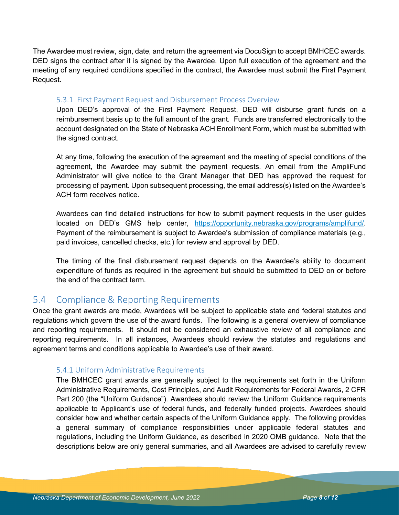The Awardee must review, sign, date, and return the agreement via DocuSign to accept BMHCEC awards. DED signs the contract after it is signed by the Awardee. Upon full execution of the agreement and the meeting of any required conditions specified in the contract, the Awardee must submit the First Payment Request.

#### 5.3.1 First Payment Request and Disbursement Process Overview

Upon DED's approval of the First Payment Request, DED will disburse grant funds on a reimbursement basis up to the full amount of the grant. Funds are transferred electronically to the account designated on the State of Nebraska ACH Enrollment Form, which must be submitted with the signed contract.

At any time, following the execution of the agreement and the meeting of special conditions of the agreement, the Awardee may submit the payment requests. An email from the AmpliFund Administrator will give notice to the Grant Manager that DED has approved the request for processing of payment. Upon subsequent processing, the email address(s) listed on the Awardee's ACH form receives notice.

Awardees can find detailed instructions for how to submit payment requests in the user guides located on DED's GMS help center, [https://opportunity.nebraska.gov/programs/amplifund/.](https://opportunity.nebraska.gov/programs/amplifund/) Payment of the reimbursement is subject to Awardee's submission of compliance materials (e.g., paid invoices, cancelled checks, etc.) for review and approval by DED.

The timing of the final disbursement request depends on the Awardee's ability to document expenditure of funds as required in the agreement but should be submitted to DED on or before the end of the contract term.

### 5.4 Compliance & Reporting Requirements

Once the grant awards are made, Awardees will be subject to applicable state and federal statutes and regulations which govern the use of the award funds. The following is a general overview of compliance and reporting requirements. It should not be considered an exhaustive review of all compliance and reporting requirements. In all instances, Awardees should review the statutes and regulations and agreement terms and conditions applicable to Awardee's use of their award.

#### 5.4.1 Uniform Administrative Requirements

The BMHCEC grant awards are generally subject to the requirements set forth in the Uniform Administrative Requirements, Cost Principles, and Audit Requirements for Federal Awards, 2 CFR Part 200 (the "Uniform Guidance"). Awardees should review the Uniform Guidance requirements applicable to Applicant's use of federal funds, and federally funded projects. Awardees should consider how and whether certain aspects of the Uniform Guidance apply. The following provides a general summary of compliance responsibilities under applicable federal statutes and regulations, including the Uniform Guidance, as described in 2020 OMB guidance. Note that the descriptions below are only general summaries, and all Awardees are advised to carefully review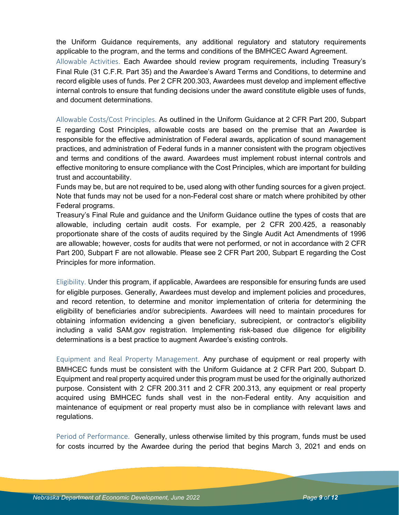the Uniform Guidance requirements, any additional regulatory and statutory requirements applicable to the program, and the terms and conditions of the BMHCEC Award Agreement. Allowable Activities. Each Awardee should review program requirements, including Treasury's Final Rule (31 C.F.R. Part 35) and the Awardee's Award Terms and Conditions, to determine and record eligible uses of funds. Per 2 CFR 200.303, Awardees must develop and implement effective internal controls to ensure that funding decisions under the award constitute eligible uses of funds, and document determinations.

Allowable Costs/Cost Principles. As outlined in the Uniform Guidance at 2 CFR Part 200, Subpart E regarding Cost Principles, allowable costs are based on the premise that an Awardee is responsible for the effective administration of Federal awards, application of sound management practices, and administration of Federal funds in a manner consistent with the program objectives and terms and conditions of the award. Awardees must implement robust internal controls and effective monitoring to ensure compliance with the Cost Principles, which are important for building trust and accountability.

Funds may be, but are not required to be, used along with other funding sources for a given project. Note that funds may not be used for a non-Federal cost share or match where prohibited by other Federal programs.

Treasury's Final Rule and guidance and the Uniform Guidance outline the types of costs that are allowable, including certain audit costs. For example, per 2 CFR 200.425, a reasonably proportionate share of the costs of audits required by the Single Audit Act Amendments of 1996 are allowable; however, costs for audits that were not performed, or not in accordance with 2 CFR Part 200, Subpart F are not allowable. Please see 2 CFR Part 200, Subpart E regarding the Cost Principles for more information.

Eligibility. Under this program, if applicable, Awardees are responsible for ensuring funds are used for eligible purposes. Generally, Awardees must develop and implement policies and procedures, and record retention, to determine and monitor implementation of criteria for determining the eligibility of beneficiaries and/or subrecipients. Awardees will need to maintain procedures for obtaining information evidencing a given beneficiary, subrecipient, or contractor's eligibility including a valid SAM.gov registration. Implementing risk-based due diligence for eligibility determinations is a best practice to augment Awardee's existing controls.

Equipment and Real Property Management. Any purchase of equipment or real property with BMHCEC funds must be consistent with the Uniform Guidance at 2 CFR Part 200, Subpart D. Equipment and real property acquired under this program must be used for the originally authorized purpose. Consistent with 2 CFR 200.311 and 2 CFR 200.313, any equipment or real property acquired using BMHCEC funds shall vest in the non-Federal entity. Any acquisition and maintenance of equipment or real property must also be in compliance with relevant laws and regulations.

Period of Performance. Generally, unless otherwise limited by this program, funds must be used for costs incurred by the Awardee during the period that begins March 3, 2021 and ends on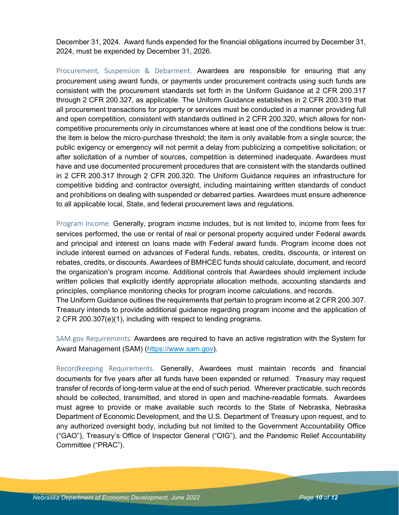December 31, 2024. Award funds expended for the financial obligations incurred by December 31, 2024, must be expended by December 31, 2026.

Procurement, Suspension & Debarment. Awardees are responsible for ensuring that any procurement using award funds, or payments under procurement contracts using such funds are consistent with the procurement standards set forth in the Uniform Guidance at 2 CFR 200.317 through 2 CFR 200.327, as applicable. The Uniform Guidance establishes in 2 CFR 200.319 that all procurement transactions for property or services must be conducted in a manner providing full and open competition, consistent with standards outlined in 2 CFR 200.320, which allows for noncompetitive procurements only in circumstances where at least one of the conditions below is true: the item is below the micro-purchase threshold; the item is only available from a single source; the public exigency or emergency will not permit a delay from publicizing a competitive solicitation; or after solicitation of a number of sources, competition is determined inadequate. Awardees must have and use documented procurement procedures that are consistent with the standards outlined in 2 CFR 200.317 through 2 CFR 200.320. The Uniform Guidance requires an infrastructure for competitive bidding and contractor oversight, including maintaining written standards of conduct and prohibitions on dealing with suspended or debarred parties. Awardees must ensure adherence to all applicable local, State, and federal procurement laws and regulations.

Program Income. Generally, program income includes, but is not limited to, income from fees for services performed, the use or rental of real or personal property acquired under Federal awards and principal and interest on loans made with Federal award funds. Program income does not include interest earned on advances of Federal funds, rebates, credits, discounts, or interest on rebates, credits, or discounts. Awardees of BMHCEC funds should calculate, document, and record the organization's program income. Additional controls that Awardees should implement include written policies that explicitly identify appropriate allocation methods, accounting standards and principles, compliance monitoring checks for program income calculations, and records. The Uniform Guidance outlines the requirements that pertain to program income at 2 CFR 200.307. Treasury intends to provide additional guidance regarding program income and the application of 2 CFR 200.307(e)(1), including with respect to lending programs.

SAM.gov Requirements. Awardees are required to have an active registration with the System for Award Management (SAM) [\(https://www.sam.gov\)](https://www.sam.gov/).

Recordkeeping Requirements. Generally, Awardees must maintain records and financial documents for five years after all funds have been expended or returned. Treasury may request transfer of records of long-term value at the end of such period. Wherever practicable, such records should be collected, transmitted, and stored in open and machine-readable formats. Awardees must agree to provide or make available such records to the State of Nebraska, Nebraska Department of Economic Development, and the U.S. Department of Treasury upon request, and to any authorized oversight body, including but not limited to the Government Accountability Office ("GAO"), Treasury's Office of Inspector General ("OIG"), and the Pandemic Relief Accountability Committee ("PRAC").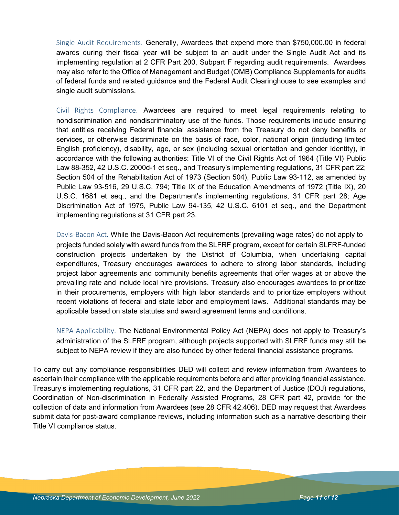Single Audit Requirements. Generally, Awardees that expend more than \$750,000.00 in federal awards during their fiscal year will be subject to an audit under the Single Audit Act and its implementing regulation at 2 CFR Part 200, Subpart F regarding audit requirements. Awardees may also refer to the Office of Management and Budget (OMB) Compliance Supplements for audits of federal funds and related guidance and the Federal Audit Clearinghouse to see examples and single audit submissions.

Civil Rights Compliance. Awardees are required to meet legal requirements relating to nondiscrimination and nondiscriminatory use of the funds. Those requirements include ensuring that entities receiving Federal financial assistance from the Treasury do not deny benefits or services, or otherwise discriminate on the basis of race, color, national origin (including limited English proficiency), disability, age, or sex (including sexual orientation and gender identity), in accordance with the following authorities: Title VI of the Civil Rights Act of 1964 (Title VI) Public Law 88-352, 42 U.S.C. 2000d-1 et seq., and Treasury's implementing regulations, 31 CFR part 22; Section 504 of the Rehabilitation Act of 1973 (Section 504), Public Law 93-112, as amended by Public Law 93-516, 29 U.S.C. 794; Title IX of the Education Amendments of 1972 (Title IX), 20 U.S.C. 1681 et seq., and the Department's implementing regulations, 31 CFR part 28; Age Discrimination Act of 1975, Public Law 94-135, 42 U.S.C. 6101 et seq., and the Department implementing regulations at 31 CFR part 23.

Davis-Bacon Act. While the Davis-Bacon Act requirements (prevailing wage rates) do not apply to projects funded solely with award funds from the SLFRF program, except for certain SLFRF-funded construction projects undertaken by the District of Columbia, when undertaking capital expenditures, Treasury encourages awardees to adhere to strong labor standards, including project labor agreements and community benefits agreements that offer wages at or above the prevailing rate and include local hire provisions. Treasury also encourages awardees to prioritize in their procurements, employers with high labor standards and to prioritize employers without recent violations of federal and state labor and employment laws. Additional standards may be applicable based on state statutes and award agreement terms and conditions.

NEPA Applicability. The National Environmental Policy Act (NEPA) does not apply to Treasury's administration of the SLFRF program, although projects supported with SLFRF funds may still be subject to NEPA review if they are also funded by other federal financial assistance programs.

To carry out any compliance responsibilities DED will collect and review information from Awardees to ascertain their compliance with the applicable requirements before and after providing financial assistance. Treasury's implementing regulations, 31 CFR part 22, and the Department of Justice (DOJ) regulations, Coordination of Non-discrimination in Federally Assisted Programs, 28 CFR part 42, provide for the collection of data and information from Awardees (see 28 CFR 42.406). DED may request that Awardees submit data for post-award compliance reviews, including information such as a narrative describing their Title VI compliance status.